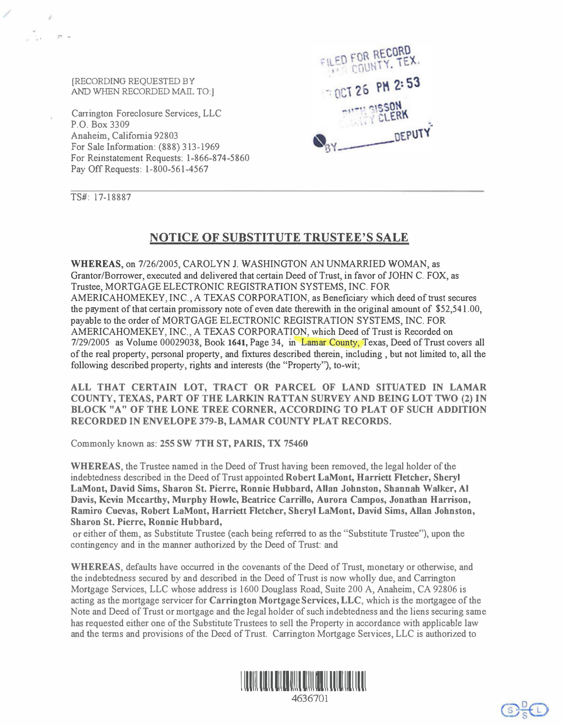[RECORDING REQUESTED BY AND WHEN RECORDED MAIL TO:]

Carrington Foreclosure Services, LLC P.O. Box 3309 Anaheim, California 92803 For Sale Information: (888) 313-1969 For Reinstatement Requests: 1-866-874-5860 Pay Off Requests: 1-800-561-4567



TS#: 17-18887

 $\frac{1}{2}$  .

 $P - r$ 

## NOTICE OF SUBSTITUTE TRUSTEE'S SALE

WHEREAS, on 7/26/2005, CAROLYN J. WASHINGTON AN UNMARRIED WOMAN, as Grantor/Borrower, executed and delivered that certain Deed of Trust, in favor of JOHN C. FOX, as Trustee, MORTGAGE ELECTRONIC REGISTRATION SYSTEMS, INC. FOR AMERICAHOMEKEY, INC., A TEXAS CORPORATION, as Beneficiary which deed of trust secures the payment of that certain promissory note of even date therewith in the original amount of \$52,541.00, payable to the order of MORTGAGE ELECTRONIC REGISTRATION SYSTEMS, INC. FOR AMERICAHOMEKEY, INC., A TEXAS CORPORATION, which Deed of Trust is Recorded on 712912005 as Volume 00029038, Book 1641, Page 34, in Lamar County, Texas, Deed of Trust covers all of the real property, personal property, and fixtures described therein, including , but not limited to, all the following described property, rights and interests (the "Property"), to-wit;

ALL THAT CERTAIN LOT, TRACT OR PARCEL OF LAND SITUATED IN LAMAR COUNTY, TEXAS, PART OF THE LARKIN RATTAN SURVEY AND BEING LOT TWO (2) IN BLOCK "A" OF THE LONE TREE CORNER, ACCORDING TO PLAT OF SUCH ADDITION RECORDED IN ENVELOPE 379-B, LAMAR COUNTY PLAT RECORDS.

Commonly known as: 255 SW 7TH ST, PARIS, TX 75460

WHEREAS, the Trustee named in the Deed of Trust having been removed, the legal holder of the indebtedness described in the Deed of Trust appointed Robert LaMont, Harriett Fletcher, Sheryl LaMont, David Sims, Sharon St. Pierre, Ronnie Hubbard, Allan Johnston, Shannah Walker, Al Davis, Kevin Mccarthy, Murphy Howle, Beatrice Carrillo, Aurora Campos, Jonathan Harrison, Ramiro Cuevas, Robert LaMont, Harriett Fletcher, Sheryl LaMont, David Sims, Allan Johnston, Sharon St. Pierre, Ronnie Hubbard,

or either of them, as Substitute Trustee (each being referred to as the "Substitute Trustee"), upon the contingency and in the manner authorized by the Deed of Trust: and

WHEREAS, defaults have occurred in the covenants of the Deed of Trust, monetary or otherwise, and the indebtedness secured by and described in the Deed of Trust is now wholly due, and Carrington Mortgage Services, LLC whose address is 1600 Douglass Road, Suite 200 A, Anaheim, CA 92806 is acting as the mortgage servicer for Carrington Mortgage Services, LLC, which is the mortgagee of the Note and Deed of Trust or mortgage and the legal holder of such indebtedness and the liens securing same has requested either one of the Substitute Trustees to sell the Property in accordance with applicable law and the terms and provisions of the Deed of Trust. Carrington Mortgage Services, LLC is authorized to

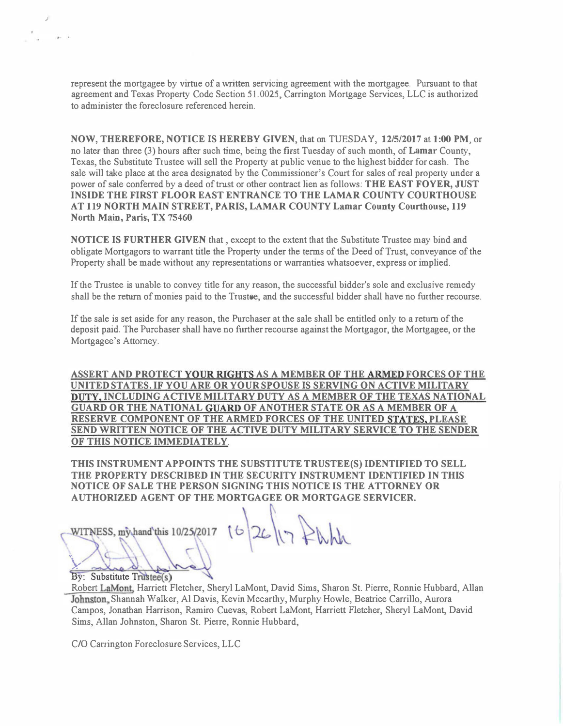represent the mortgagee by virtue of a written servicing agreement with the mortgagee. Pursuant to that agreement and Texas Property Code Section 51.0025, Carrington Mortgage Services, LLC is authorized to administer the foreclosure referenced herein.

NOW, THEREFORE, NOTICE IS HEREBY GIVEN, that on TUESDAY, 12/5/2017at1:00 PM, or no later than three (3) hours after such time, being the first Tuesday of such month, of Lamar County, Texas, the Substitute Trustee will sell the Property at public venue to the highest bidder for cash. The sale will take place at the area designated by the Commissioner's Court for sales of real property under a power of sale conferred by a deed of trust or other contract lien as follows: THE EAST FOYER, JUST INSIDE THE FIRST FLOOR EAST ENTRANCE TO THE LAMAR COUNTY COURTHOUSE AT 119 NORTH MAIN STREET, PARIS, LAMAR COUNTY Lamar County Courthouse, 119 North Main, Paris, TX 75460

NOTICE IS FURTHER GIVEN that , except to the extent that the Substitute Trustee may bind and obligate Mortgagors to warrant title the Property under the terms of the Deed of Trust, conveyance of the Property shall be made without any representations or warranties whatsoever, express or implied.

If the Trustee is unable to convey title for any reason, the successful bidder's sole and exclusive remedy shall be the return of monies paid to the Trustee, and the successful bidder shall have no further recourse.

If the sale is set aside for any reason, the Purchaser at the sale shall be entitled only to a return of the deposit paid. The Purchaser shall have no further recourse against the Mortgagor, the Mortgagee, or the Mortgagee's Attorney.

ASSERT AND PROTECT YOUR RIGHTS AS A MEMBER OF THE ARMED FORCES OF THE UNITED STATES. IF YOU ARE OR YOUR SPOUSE IS SERVING ON ACTIVE MILITARY DUTY, INCLUDING ACTIVE MILITARY DUTY AS A MEMBER OF THE TEXAS NATIONAL GUARD OR THE NATIONAL GUARD OF ANOTHER STATE OR AS A MEMBER OF A RESERVE COMPONENT OF THE ARMED FORCES OF THE UNITED STATES, PLEASE SEND WRITTEN NOTICE OF THE ACTIVE DUTY MILITARY SERVICE TO THE SENDER OF THIS NOTICE IMMEDIATELY.

THIS INSTRUMENT APPOINTS THE SUBSTITUTE TRUSTEE(S) IDENTIFIED TO SELL THE PROPERTY DESCRIBED IN THE SECURITY INSTRUMENT IDENTIFIED IN THIS NOTICE OF SALE THE PERSON SIGNING THIS NOTICE IS THE ATTORNEY OR AUTHORIZED AGENT OF THE MORTGAGEE OR MORTGAGE SERVICER.

WITNESS, my hand this 10/25/2017

 $16 | 26 | \eta$ 

By: Substitute Trustee(s)  $\bigcup_{\alpha\in \mathbb{Z}}\bigcup_{\alpha\in \mathbb{Z}}$ 

J

Robert LaMont, Harriett Fletcher, Sheryl LaMont, David Sims, Sharon St. Pierre, Ronnie Hubbard, Allan Johnston, Shannah Walker, Al Davis, Kevin Mccarthy, Murphy Howle, Beatrice Carrillo, Aurora Campos, Jonathan Harrison, Ramiro Cuevas, Robert LaMont, Harriett Fletcher, Sheryl LaMont, David Sims, Allan Johnston, Sharon St. Pierre, Ronnie Hubbard,

C/O Carrington Foreclosure Services, LLC

 $\mathcal{U}$ 

.